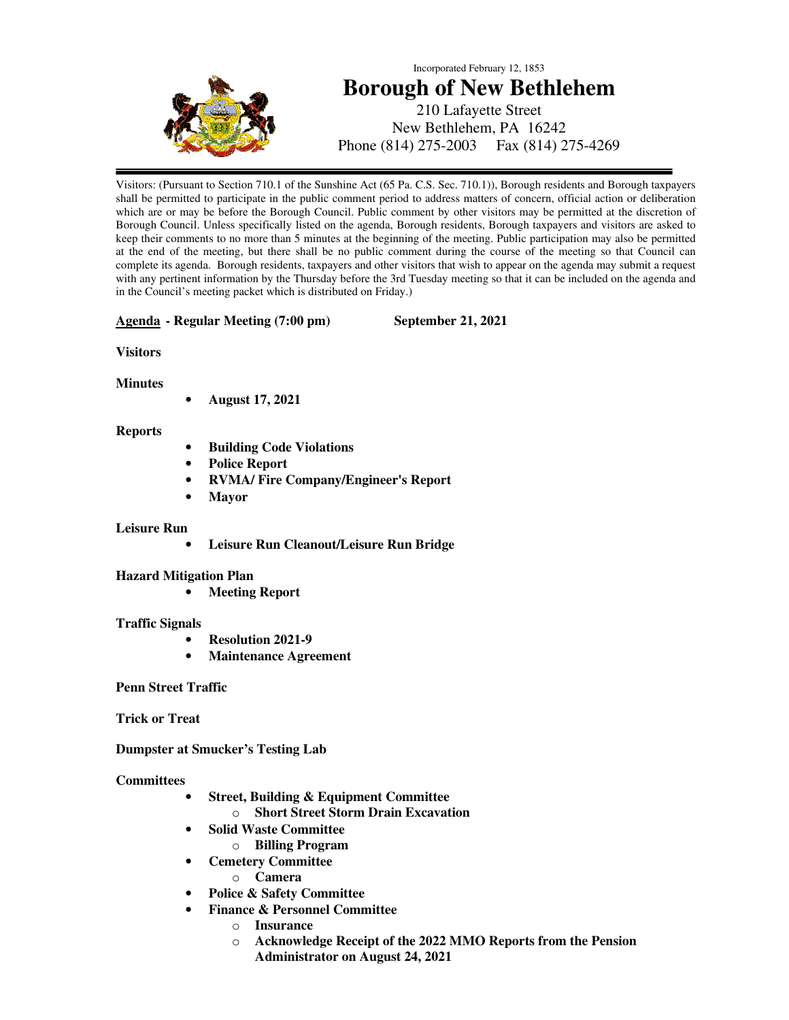

# Incorporated February 12, 1853 **Borough of New Bethlehem**  210 Lafayette Street New Bethlehem, PA 16242 Phone (814) 275-2003 Fax (814) 275-4269

Visitors: (Pursuant to Section 710.1 of the Sunshine Act (65 Pa. C.S. Sec. 710.1)), Borough residents and Borough taxpayers shall be permitted to participate in the public comment period to address matters of concern, official action or deliberation which are or may be before the Borough Council. Public comment by other visitors may be permitted at the discretion of Borough Council. Unless specifically listed on the agenda, Borough residents, Borough taxpayers and visitors are asked to keep their comments to no more than 5 minutes at the beginning of the meeting. Public participation may also be permitted at the end of the meeting, but there shall be no public comment during the course of the meeting so that Council can complete its agenda. Borough residents, taxpayers and other visitors that wish to appear on the agenda may submit a request with any pertinent information by the Thursday before the 3rd Tuesday meeting so that it can be included on the agenda and in the Council's meeting packet which is distributed on Friday.)

#### **Agenda - Regular Meeting (7:00 pm) September 21, 2021**

# **Visitors**

**Minutes** 

• **August 17, 2021** 

# **Reports**

- **Building Code Violations**
- **Police Report**
- **RVMA/ Fire Company/Engineer's Report**
- **Mayor**

# **Leisure Run**

• **Leisure Run Cleanout/Leisure Run Bridge** 

# **Hazard Mitigation Plan**

• **Meeting Report** 

# **Traffic Signals**

- **Resolution 2021-9**
- **Maintenance Agreement**

# **Penn Street Traffic**

**Trick or Treat** 

**Dumpster at Smucker's Testing Lab** 

# **Committees**

- **Street, Building & Equipment Committee** 
	- o **Short Street Storm Drain Excavation**
- **Solid Waste Committee** 
	- o **Billing Program**
- **Cemetery Committee** 
	- o **Camera**
- **Police & Safety Committee** 
	- **Finance & Personnel Committee** 
		- o **Insurance** 
			- o **Acknowledge Receipt of the 2022 MMO Reports from the Pension Administrator on August 24, 2021**